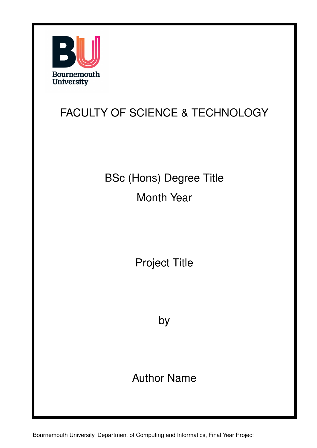

#### FACULTY OF SCIENCE & TECHNOLOGY

BSc (Hons) Degree Title Month Year

Project Title

by

Author Name

Bournemouth University, Department of Computing and Informatics, Final Year Project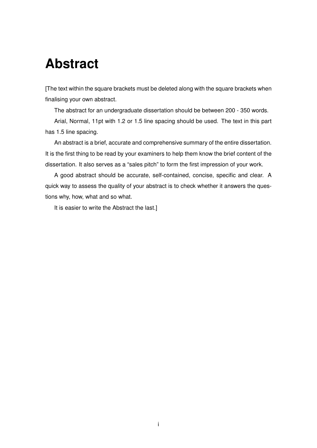#### **Abstract**

[The text within the square brackets must be deleted along with the square brackets when finalising your own abstract.

The abstract for an undergraduate dissertation should be between 200 - 350 words.

Arial, Normal, 11pt with 1.2 or 1.5 line spacing should be used. The text in this part has 1.5 line spacing.

An abstract is a brief, accurate and comprehensive summary of the entire dissertation. It is the first thing to be read by your examiners to help them know the brief content of the dissertation. It also serves as a "sales pitch" to form the first impression of your work.

A good abstract should be accurate, self-contained, concise, specific and clear. A quick way to assess the quality of your abstract is to check whether it answers the questions why, how, what and so what.

It is easier to write the Abstract the last.]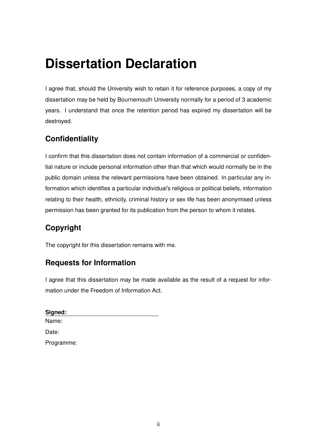## **Dissertation Declaration**

I agree that, should the University wish to retain it for reference purposes, a copy of my dissertation may be held by Bournemouth University normally for a period of 3 academic years. I understand that once the retention period has expired my dissertation will be destroyed.

#### **Confidentiality**

I confirm that this dissertation does not contain information of a commercial or confidential nature or include personal information other than that which would normally be in the public domain unless the relevant permissions have been obtained. In particular any information which identifies a particular individual's religious or political beliefs, information relating to their health, ethnicity, criminal history or sex life has been anonymised unless permission has been granted for its publication from the person to whom it relates.

#### **Copyright**

The copyright for this dissertation remains with me.

#### **Requests for Information**

I agree that this dissertation may be made available as the result of a request for information under the Freedom of Information Act.

**Signed:** Name: Date: Programme: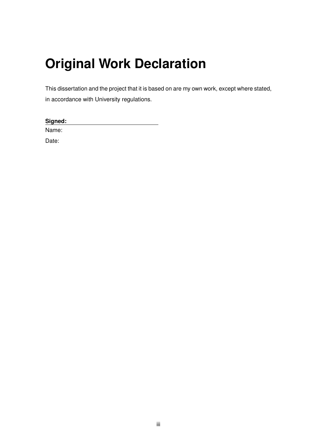## **Original Work Declaration**

This dissertation and the project that it is based on are my own work, except where stated, in accordance with University regulations.

| Signed: |  |  |
|---------|--|--|
| Name:   |  |  |

Date: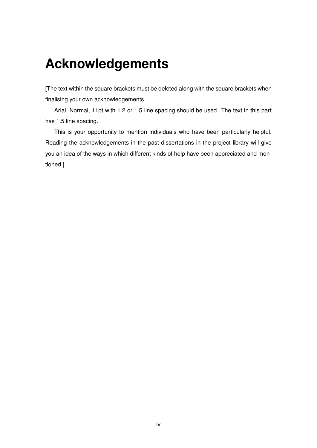#### **Acknowledgements**

[The text within the square brackets must be deleted along with the square brackets when finalising your own acknowledgements.

Arial, Normal, 11pt with 1.2 or 1.5 line spacing should be used. The text in this part has 1.5 line spacing.

This is your opportunity to mention individuals who have been particularly helpful. Reading the acknowledgements in the past dissertations in the project library will give you an idea of the ways in which different kinds of help have been appreciated and mentioned.]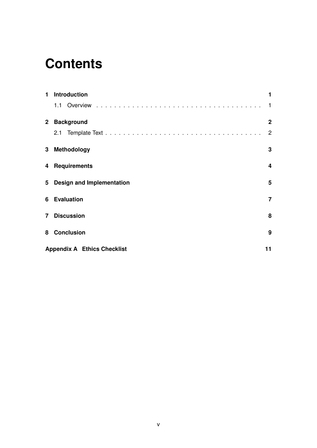#### **Contents**

| 1.             | <b>Introduction</b>                |                |
|----------------|------------------------------------|----------------|
|                |                                    | $\mathbf{1}$   |
|                | 2 Background                       | $\mathbf{2}$   |
|                | 2.1                                | 2              |
|                | 3 Methodology                      | 3              |
|                | 4 Requirements                     | 4              |
|                | 5 Design and Implementation        | 5              |
|                | <b>6</b> Evaluation                | $\overline{7}$ |
| $\overline{7}$ | <b>Discussion</b>                  | 8              |
| 8              | <b>Conclusion</b>                  | 9              |
|                | <b>Appendix A Ethics Checklist</b> | 11             |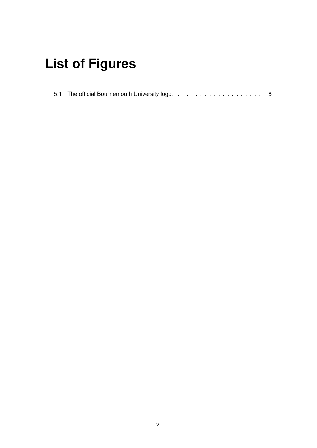# **List of Figures**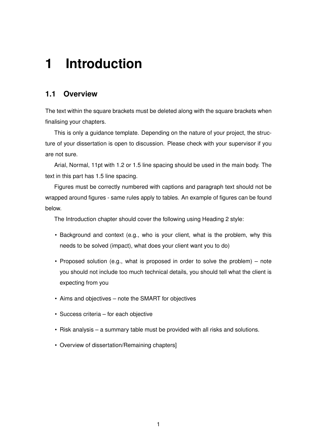#### <span id="page-7-0"></span>**1 Introduction**

#### <span id="page-7-1"></span>**1.1 Overview**

The text within the square brackets must be deleted along with the square brackets when finalising your chapters.

This is only a guidance template. Depending on the nature of your project, the structure of your dissertation is open to discussion. Please check with your supervisor if you are not sure.

Arial, Normal, 11pt with 1.2 or 1.5 line spacing should be used in the main body. The text in this part has 1.5 line spacing.

Figures must be correctly numbered with captions and paragraph text should not be wrapped around figures - same rules apply to tables. An example of figures can be found below.

The Introduction chapter should cover the following using Heading 2 style:

- Background and context (e.g., who is your client, what is the problem, why this needs to be solved (impact), what does your client want you to do)
- Proposed solution (e.g., what is proposed in order to solve the problem) note you should not include too much technical details, you should tell what the client is expecting from you
- Aims and objectives note the SMART for objectives
- Success criteria for each objective
- Risk analysis a summary table must be provided with all risks and solutions.
- Overview of dissertation/Remaining chapters]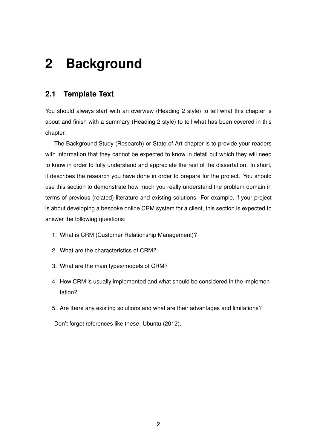### <span id="page-8-0"></span>**2 Background**

#### <span id="page-8-1"></span>**2.1 Template Text**

You should always start with an overview (Heading 2 style) to tell what this chapter is about and finish with a summary (Heading 2 style) to tell what has been covered in this chapter.

The Background Study (Research) or State of Art chapter is to provide your readers with information that they cannot be expected to know in detail but which they will need to know in order to fully understand and appreciate the rest of the dissertation. In short, it describes the research you have done in order to prepare for the project. You should use this section to demonstrate how much you really understand the problem domain in terms of previous (related) literature and existing solutions. For example, if your project is about developing a bespoke online CRM system for a client, this section is expected to answer the following questions:

- 1. What is CRM (Customer Relationship Management)?
- 2. What are the characteristics of CRM?
- 3. What are the main types/models of CRM?
- 4. How CRM is usually implemented and what should be considered in the implementation?
- 5. Are there any existing solutions and what are their advantages and limitations?

Don't forget references like these: [Ubuntu](#page-16-0) [\(2012\)](#page-16-0).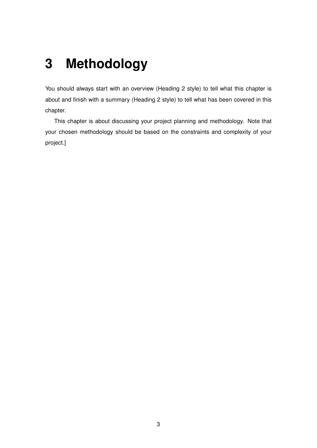## <span id="page-9-0"></span>**3 Methodology**

You should always start with an overview (Heading 2 style) to tell what this chapter is about and finish with a summary (Heading 2 style) to tell what has been covered in this chapter.

This chapter is about discussing your project planning and methodology. Note that your chosen methodology should be based on the constraints and complexity of your project.]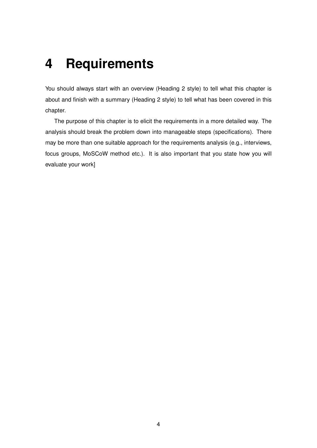#### <span id="page-10-0"></span>**4 Requirements**

You should always start with an overview (Heading 2 style) to tell what this chapter is about and finish with a summary (Heading 2 style) to tell what has been covered in this chapter.

The purpose of this chapter is to elicit the requirements in a more detailed way. The analysis should break the problem down into manageable steps (specifications). There may be more than one suitable approach for the requirements analysis (e.g., interviews, focus groups, MoSCoW method etc.). It is also important that you state how you will evaluate your work]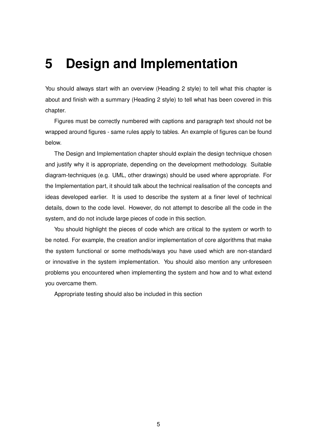#### <span id="page-11-0"></span>**5 Design and Implementation**

You should always start with an overview (Heading 2 style) to tell what this chapter is about and finish with a summary (Heading 2 style) to tell what has been covered in this chapter.

Figures must be correctly numbered with captions and paragraph text should not be wrapped around figures - same rules apply to tables. An example of figures can be found below.

The Design and Implementation chapter should explain the design technique chosen and justify why it is appropriate, depending on the development methodology. Suitable diagram-techniques (e.g. UML, other drawings) should be used where appropriate. For the Implementation part, it should talk about the technical realisation of the concepts and ideas developed earlier. It is used to describe the system at a finer level of technical details, down to the code level. However, do not attempt to describe all the code in the system, and do not include large pieces of code in this section.

You should highlight the pieces of code which are critical to the system or worth to be noted. For example, the creation and/or implementation of core algorithms that make the system functional or some methods/ways you have used which are non-standard or innovative in the system implementation. You should also mention any unforeseen problems you encountered when implementing the system and how and to what extend you overcame them.

Appropriate testing should also be included in this section

5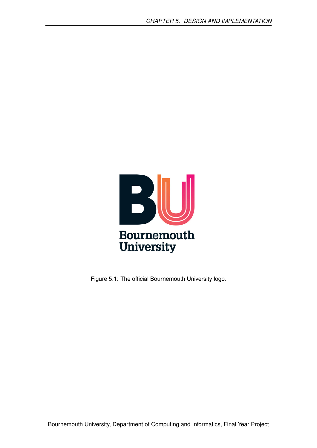

<span id="page-12-0"></span>Figure 5.1: The official Bournemouth University logo.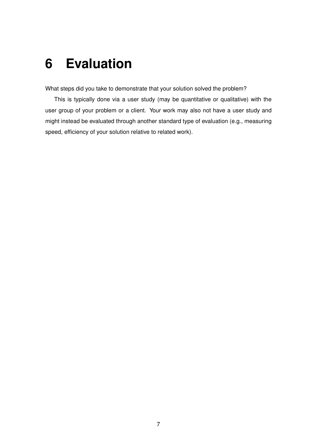#### <span id="page-13-0"></span>**6 Evaluation**

What steps did you take to demonstrate that your solution solved the problem?

This is typically done via a user study (may be quantitative or qualitative) with the user group of your problem or a client. Your work may also not have a user study and might instead be evaluated through another standard type of evaluation (e.g., measuring speed, efficiency of your solution relative to related work).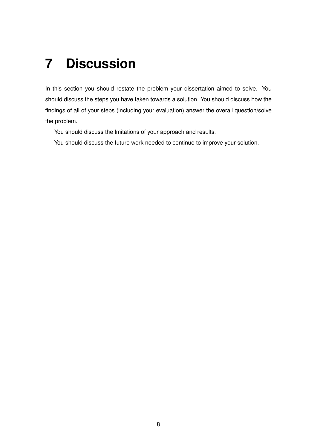### <span id="page-14-0"></span>**7 Discussion**

In this section you should restate the problem your dissertation aimed to solve. You should discuss the steps you have taken towards a solution. You should discuss how the findings of all of your steps (including your evaluation) answer the overall question/solve the problem.

You should discuss the lmitations of your approach and results.

You should discuss the future work needed to continue to improve your solution.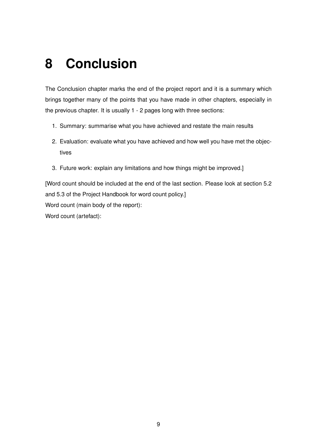### <span id="page-15-0"></span>**8 Conclusion**

The Conclusion chapter marks the end of the project report and it is a summary which brings together many of the points that you have made in other chapters, especially in the previous chapter. It is usually 1 - 2 pages long with three sections:

- 1. Summary: summarise what you have achieved and restate the main results
- 2. Evaluation: evaluate what you have achieved and how well you have met the objectives
- 3. Future work: explain any limitations and how things might be improved.]

[Word count should be included at the end of the last section. Please look at section 5.2 and 5.3 of the Project Handbook for word count policy.] Word count (main body of the report): Word count (artefact):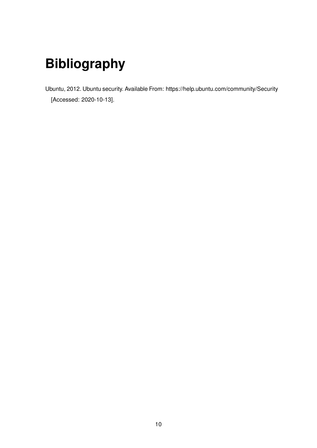# **Bibliography**

<span id="page-16-0"></span>Ubuntu, 2012. Ubuntu security. Available From: https://help.ubuntu.com/community/Security [Accessed: 2020-10-13].